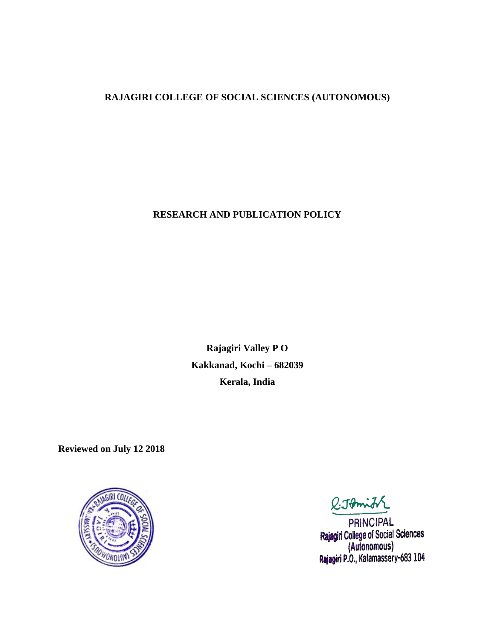## **RAJAGIRI COLLEGE OF SOCIAL SCIENCES (AUTONOMOUS)**

#### **RESEARCH AND PUBLICATION POLICY**

**Rajagiri Valley P O Kakkanad, Kochi – 682039 Kerala, India**

**Reviewed on July 12 2018**



l:Johni

**PRINCIPAL** Rajagiri College of Social Sciences (Autonomous)<br>Rajagiri P.O., Kalamassery-683 104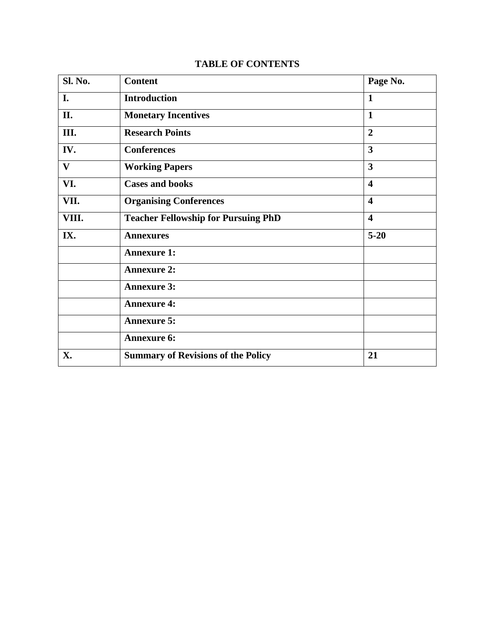|  | <b>TABLE OF CONTENTS</b> |
|--|--------------------------|
|--|--------------------------|

| <b>Sl. No.</b> | <b>Content</b>                             | Page No.                |
|----------------|--------------------------------------------|-------------------------|
| I.             | <b>Introduction</b>                        | $\mathbf{1}$            |
| II.            | <b>Monetary Incentives</b>                 | $\mathbf{1}$            |
| Ш.             | <b>Research Points</b>                     | $\overline{2}$          |
| IV.            | <b>Conferences</b>                         | $\overline{\mathbf{3}}$ |
| $\mathbf{V}$   | <b>Working Papers</b>                      | $\overline{\mathbf{3}}$ |
| VI.            | <b>Cases and books</b>                     | $\overline{\mathbf{4}}$ |
| VII.           | <b>Organising Conferences</b>              | $\overline{\mathbf{4}}$ |
| VIII.          | <b>Teacher Fellowship for Pursuing PhD</b> | $\overline{\mathbf{4}}$ |
| IX.            | <b>Annexures</b>                           | $5 - 20$                |
|                | <b>Annexure 1:</b>                         |                         |
|                | <b>Annexure 2:</b>                         |                         |
|                | <b>Annexure 3:</b>                         |                         |
|                | <b>Annexure 4:</b>                         |                         |
|                | <b>Annexure 5:</b>                         |                         |
|                | <b>Annexure 6:</b>                         |                         |
| X.             | <b>Summary of Revisions of the Policy</b>  | 21                      |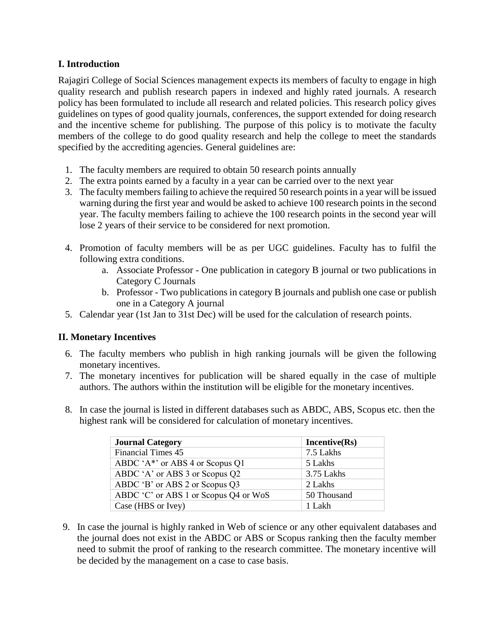## **I. Introduction**

Rajagiri College of Social Sciences management expects its members of faculty to engage in high quality research and publish research papers in indexed and highly rated journals. A research policy has been formulated to include all research and related policies. This research policy gives guidelines on types of good quality journals, conferences, the support extended for doing research and the incentive scheme for publishing. The purpose of this policy is to motivate the faculty members of the college to do good quality research and help the college to meet the standards specified by the accrediting agencies. General guidelines are:

- 1. The faculty members are required to obtain 50 research points annually
- 2. The extra points earned by a faculty in a year can be carried over to the next year
- 3. The faculty members failing to achieve the required 50 research points in a year will be issued warning during the first year and would be asked to achieve 100 research points in the second year. The faculty members failing to achieve the 100 research points in the second year will lose 2 years of their service to be considered for next promotion.
- 4. Promotion of faculty members will be as per UGC guidelines. Faculty has to fulfil the following extra conditions.
	- a. Associate Professor One publication in category B journal or two publications in Category C Journals
	- b. Professor Two publications in category B journals and publish one case or publish one in a Category A journal
- 5. Calendar year (1st Jan to 31st Dec) will be used for the calculation of research points.

## **II. Monetary Incentives**

- 6. The faculty members who publish in high ranking journals will be given the following monetary incentives.
- 7. The monetary incentives for publication will be shared equally in the case of multiple authors. The authors within the institution will be eligible for the monetary incentives.
- 8. In case the journal is listed in different databases such as ABDC, ABS, Scopus etc. then the highest rank will be considered for calculation of monetary incentives.

| <b>Journal Category</b>               | Incentive(Rs) |
|---------------------------------------|---------------|
| <b>Financial Times 45</b>             | 7.5 Lakhs     |
| ABDC 'A*' or ABS 4 or Scopus $Q1$     | 5 Lakhs       |
| ABDC 'A' or ABS 3 or Scopus Q2        | 3.75 Lakhs    |
| ABDC 'B' or ABS 2 or Scopus Q3        | 2 Lakhs       |
| ABDC 'C' or ABS 1 or Scopus Q4 or WoS | 50 Thousand   |
| Case (HBS or Ivey)                    | 1 Lakh        |

9. In case the journal is highly ranked in Web of science or any other equivalent databases and the journal does not exist in the ABDC or ABS or Scopus ranking then the faculty member need to submit the proof of ranking to the research committee. The monetary incentive will be decided by the management on a case to case basis.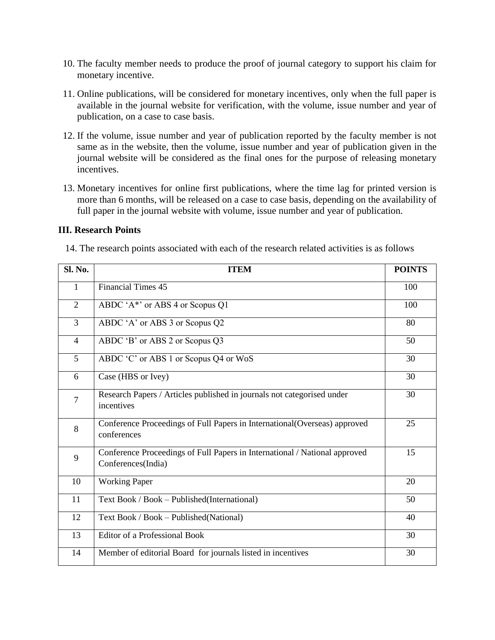- 10. The faculty member needs to produce the proof of journal category to support his claim for monetary incentive.
- 11. Online publications, will be considered for monetary incentives, only when the full paper is available in the journal website for verification, with the volume, issue number and year of publication, on a case to case basis.
- 12. If the volume, issue number and year of publication reported by the faculty member is not same as in the website, then the volume, issue number and year of publication given in the journal website will be considered as the final ones for the purpose of releasing monetary incentives.
- 13. Monetary incentives for online first publications, where the time lag for printed version is more than 6 months, will be released on a case to case basis, depending on the availability of full paper in the journal website with volume, issue number and year of publication.

#### **III. Research Points**

14. The research points associated with each of the research related activities is as follows

| Sl. No.        | <b>ITEM</b>                                                                                      | <b>POINTS</b> |
|----------------|--------------------------------------------------------------------------------------------------|---------------|
| $\mathbf{1}$   | <b>Financial Times 45</b>                                                                        | 100           |
| $\overline{2}$ | ABDC 'A*' or ABS 4 or Scopus Q1                                                                  | 100           |
| $\overline{3}$ | ABDC 'A' or ABS 3 or Scopus Q2                                                                   | 80            |
| $\overline{4}$ | ABDC 'B' or ABS 2 or Scopus Q3                                                                   | 50            |
| 5              | ABDC 'C' or ABS 1 or Scopus Q4 or WoS                                                            | 30            |
| 6              | Case (HBS or Ivey)                                                                               | 30            |
| $\tau$         | Research Papers / Articles published in journals not categorised under<br>incentives             | 30            |
| 8              | Conference Proceedings of Full Papers in International(Overseas) approved<br>conferences         | 25            |
| 9              | Conference Proceedings of Full Papers in International / National approved<br>Conferences(India) | 15            |
| 10             | <b>Working Paper</b>                                                                             | 20            |
| 11             | Text Book / Book - Published (International)                                                     | 50            |
| 12             | Text Book / Book - Published (National)                                                          | 40            |
| 13             | <b>Editor of a Professional Book</b>                                                             | 30            |
| 14             | Member of editorial Board for journals listed in incentives                                      | 30            |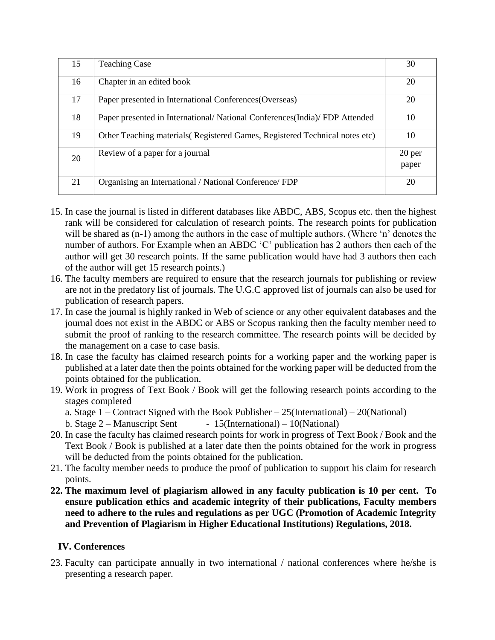| 15 | <b>Teaching Case</b>                                                        | 30              |
|----|-----------------------------------------------------------------------------|-----------------|
| 16 | Chapter in an edited book                                                   | 20              |
| 17 | Paper presented in International Conferences (Overseas)                     | 20              |
| 18 | Paper presented in International/National Conferences(India)/FDP Attended   | 10              |
| 19 | Other Teaching materials (Registered Games, Registered Technical notes etc) | 10              |
| 20 | Review of a paper for a journal                                             | 20 per<br>paper |
| 21 | Organising an International / National Conference/ FDP                      | 20              |

- 15. In case the journal is listed in different databases like ABDC, ABS, Scopus etc. then the highest rank will be considered for calculation of research points. The research points for publication will be shared as (n-1) among the authors in the case of multiple authors. (Where 'n' denotes the number of authors. For Example when an ABDC 'C' publication has 2 authors then each of the author will get 30 research points. If the same publication would have had 3 authors then each of the author will get 15 research points.)
- 16. The faculty members are required to ensure that the research journals for publishing or review are not in the predatory list of journals. The U.G.C approved list of journals can also be used for publication of research papers.
- 17. In case the journal is highly ranked in Web of science or any other equivalent databases and the journal does not exist in the ABDC or ABS or Scopus ranking then the faculty member need to submit the proof of ranking to the research committee. The research points will be decided by the management on a case to case basis.
- 18. In case the faculty has claimed research points for a working paper and the working paper is published at a later date then the points obtained for the working paper will be deducted from the points obtained for the publication.
- 19. Work in progress of Text Book / Book will get the following research points according to the stages completed
	- a. Stage  $1$  Contract Signed with the Book Publisher 25(International) 20(National)
	- b. Stage  $2 -$  Manuscript Sent 15(International) 10(National)
- 20. In case the faculty has claimed research points for work in progress of Text Book / Book and the Text Book / Book is published at a later date then the points obtained for the work in progress will be deducted from the points obtained for the publication.
- 21. The faculty member needs to produce the proof of publication to support his claim for research points.
- **22. The maximum level of plagiarism allowed in any faculty publication is 10 per cent. To ensure publication ethics and academic integrity of their publications, Faculty members need to adhere to the rules and regulations as per UGC (Promotion of Academic Integrity and Prevention of Plagiarism in Higher Educational Institutions) Regulations, 2018.**

## **IV. Conferences**

23. Faculty can participate annually in two international / national conferences where he/she is presenting a research paper.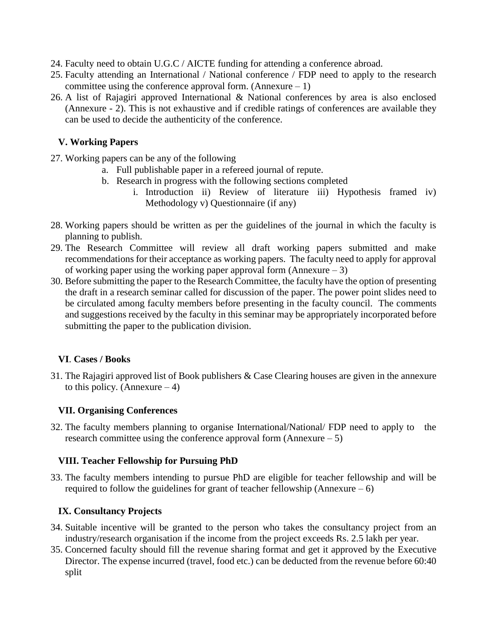- 24. Faculty need to obtain U.G.C / AICTE funding for attending a conference abroad.
- 25. Faculty attending an International / National conference / FDP need to apply to the research committee using the conference approval form. (Annexure  $-1$ )
- 26. A list of Rajagiri approved International & National conferences by area is also enclosed (Annexure - 2). This is not exhaustive and if credible ratings of conferences are available they can be used to decide the authenticity of the conference.

## **V. Working Papers**

- 27. Working papers can be any of the following
	- a. Full publishable paper in a refereed journal of repute.
	- b. Research in progress with the following sections completed
		- i. Introduction ii) Review of literature iii) Hypothesis framed iv) Methodology v) Questionnaire (if any)
- 28. Working papers should be written as per the guidelines of the journal in which the faculty is planning to publish.
- 29. The Research Committee will review all draft working papers submitted and make recommendations for their acceptance as working papers. The faculty need to apply for approval of working paper using the working paper approval form (Annexure  $-3$ )
- 30. Before submitting the paper to the Research Committee, the faculty have the option of presenting the draft in a research seminar called for discussion of the paper. The power point slides need to be circulated among faculty members before presenting in the faculty council. The comments and suggestions received by the faculty in this seminar may be appropriately incorporated before submitting the paper to the publication division.

## **VI**. **Cases / Books**

31. The Rajagiri approved list of Book publishers & Case Clearing houses are given in the annexure to this policy. (Annexure  $-4$ )

## **VII. Organising Conferences**

32. The faculty members planning to organise International/National/ FDP need to apply to the research committee using the conference approval form  $(Annexure - 5)$ 

## **VIII. Teacher Fellowship for Pursuing PhD**

33. The faculty members intending to pursue PhD are eligible for teacher fellowship and will be required to follow the guidelines for grant of teacher fellowship (Annexure  $- 6$ )

## **IX. Consultancy Projects**

- 34. Suitable incentive will be granted to the person who takes the consultancy project from an industry/research organisation if the income from the project exceeds Rs. 2.5 lakh per year.
- 35. Concerned faculty should fill the revenue sharing format and get it approved by the Executive Director. The expense incurred (travel, food etc.) can be deducted from the revenue before 60:40 split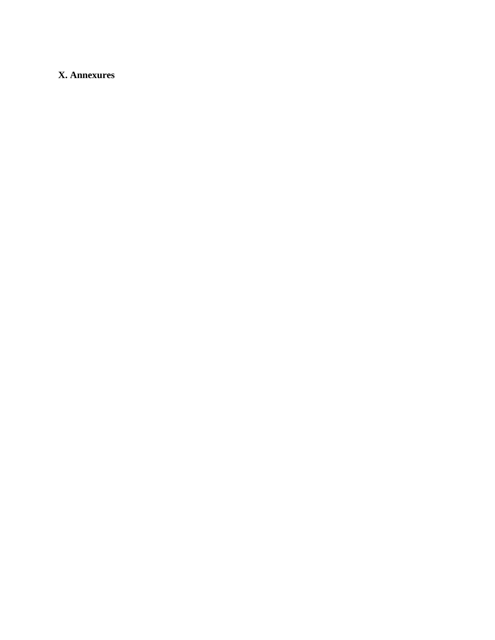## **X. Annexures**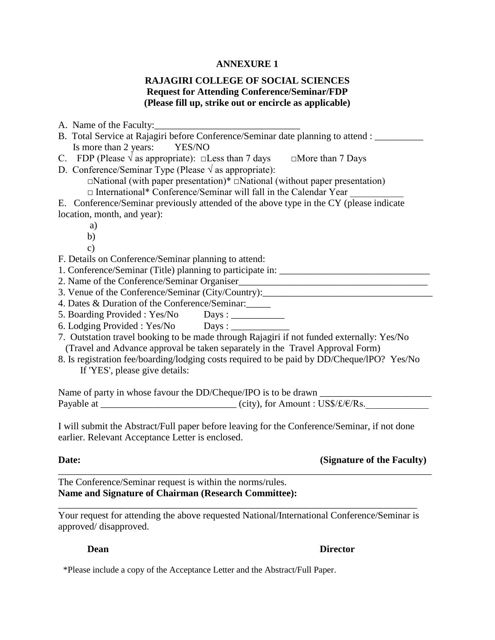#### **ANNEXURE 1**

## **RAJAGIRI COLLEGE OF SOCIAL SCIENCES Request for Attending Conference/Seminar/FDP (Please fill up, strike out or encircle as applicable)**

| A. Name of the Faculty:                                                                          |
|--------------------------------------------------------------------------------------------------|
| B. Total Service at Rajagiri before Conference/Seminar date planning to attend : ________        |
| Is more than 2 years: YES/NO                                                                     |
| C. FDP (Please $\sqrt{ }$ as appropriate): $\square$ Less than 7 days $\square$ More than 7 Days |
| D. Conference/Seminar Type (Please $\sqrt{ }$ as appropriate):                                   |
| $\Box$ National (with paper presentation)* $\Box$ National (without paper presentation)          |
| □ International* Conference/Seminar will fall in the Calendar Year                               |
| E. Conference/Seminar previously attended of the above type in the CY (please indicate           |
| location, month, and year):                                                                      |
| a)                                                                                               |
| b)                                                                                               |
| $\mathbf{c})$                                                                                    |
| F. Details on Conference/Seminar planning to attend:                                             |
| 1. Conference/Seminar (Title) planning to participate in: _______________________                |
| 2. Name of the Conference/Seminar Organiser                                                      |
| 3. Venue of the Conference/Seminar (City/Country): ______________________________                |
| 4. Dates & Duration of the Conference/Seminar:                                                   |
| 5. Boarding Provided : Yes/No Days : __________                                                  |
|                                                                                                  |
| 7. Outstation travel booking to be made through Rajagiri if not funded externally: Yes/No        |
| (Travel and Advance approval be taken separately in the Travel Approval Form)                    |
| 8. Is registration fee/boarding/lodging costs required to be paid by DD/Cheque/IPO? Yes/No       |
| If 'YES', please give details:                                                                   |
|                                                                                                  |
|                                                                                                  |
| Payable at $\frac{\text{City}}{\text{City}}$ , for Amount: US\$/ $\text{£}/\text{Rs}$ .          |
|                                                                                                  |
| I will submit the Abstract/Full paper before leaving for the Conference/Seminar, if not done     |
| earlier. Relevant Acceptance Letter is enclosed.                                                 |
|                                                                                                  |

## **Date:** (Signature of the Faculty)

The Conference/Seminar request is within the norms/rules. **Name and Signature of Chairman (Research Committee):**

Your request for attending the above requested National/International Conference/Seminar is approved/ disapproved.

\_\_\_\_\_\_\_\_\_\_\_\_\_\_\_\_\_\_\_\_\_\_\_\_\_\_\_\_\_\_\_\_\_\_\_\_\_\_\_\_\_\_\_\_\_\_\_\_\_\_\_\_\_\_\_\_\_\_\_\_\_\_\_\_\_\_\_\_\_\_\_\_\_\_

\_\_\_\_\_\_\_\_\_\_\_\_\_\_\_\_\_\_\_\_\_\_\_\_\_\_\_\_\_\_\_\_\_\_\_\_\_\_\_\_\_\_\_\_\_\_\_\_\_\_\_\_\_\_\_\_\_\_\_\_\_\_\_\_\_\_\_\_\_\_\_\_\_\_\_\_\_

#### **Dean Director**

\*Please include a copy of the Acceptance Letter and the Abstract/Full Paper.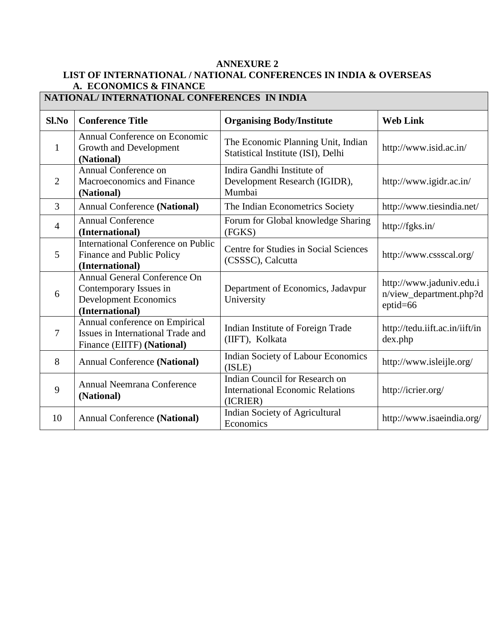## **ANNEXURE 2 LIST OF INTERNATIONAL / NATIONAL CONFERENCES IN INDIA & OVERSEAS A. ECONOMICS & FINANCE**

| NATIONAL/INTERNATIONAL CONFERENCES IN INDIA |                                                                                                                  |                                                                                       |                                                                     |
|---------------------------------------------|------------------------------------------------------------------------------------------------------------------|---------------------------------------------------------------------------------------|---------------------------------------------------------------------|
| Sl.No                                       | <b>Conference Title</b>                                                                                          | <b>Organising Body/Institute</b>                                                      | <b>Web Link</b>                                                     |
| $\mathbf{1}$                                | Annual Conference on Economic<br>Growth and Development<br>(National)                                            | The Economic Planning Unit, Indian<br>Statistical Institute (ISI), Delhi              | http://www.isid.ac.in/                                              |
| $\overline{2}$                              | Annual Conference on<br>Macroeconomics and Finance<br>(National)                                                 | Indira Gandhi Institute of<br>Development Research (IGIDR),<br>Mumbai                 | http://www.igidr.ac.in/                                             |
| $\overline{3}$                              | <b>Annual Conference (National)</b>                                                                              | The Indian Econometrics Society                                                       | http://www.tiesindia.net/                                           |
| $\overline{4}$                              | <b>Annual Conference</b><br>(International)                                                                      | Forum for Global knowledge Sharing<br>(FGKS)                                          | http://fgks.in/                                                     |
| 5                                           | International Conference on Public<br>Finance and Public Policy<br>(International)                               | Centre for Studies in Social Sciences<br>(CSSSC), Calcutta                            | http://www.cssscal.org/                                             |
| 6                                           | <b>Annual General Conference On</b><br>Contemporary Issues in<br><b>Development Economics</b><br>(International) | Department of Economics, Jadavpur<br>University                                       | http://www.jaduniv.edu.i<br>n/view_department.php?d<br>$eptid = 66$ |
| $\tau$                                      | Annual conference on Empirical<br>Issues in International Trade and<br>Finance (EIITF) (National)                | Indian Institute of Foreign Trade<br>(IIFT), Kolkata                                  | http://tedu.iift.ac.in/iift/in<br>dex.php                           |
| 8                                           | <b>Annual Conference (National)</b>                                                                              | <b>Indian Society of Labour Economics</b><br>(ISLE)                                   | http://www.isleijle.org/                                            |
| 9                                           | Annual Neemrana Conference<br>(National)                                                                         | Indian Council for Research on<br><b>International Economic Relations</b><br>(ICRIER) | http://icrier.org/                                                  |
| 10                                          | <b>Annual Conference (National)</b>                                                                              | Indian Society of Agricultural<br>Economics                                           | http://www.isaeindia.org/                                           |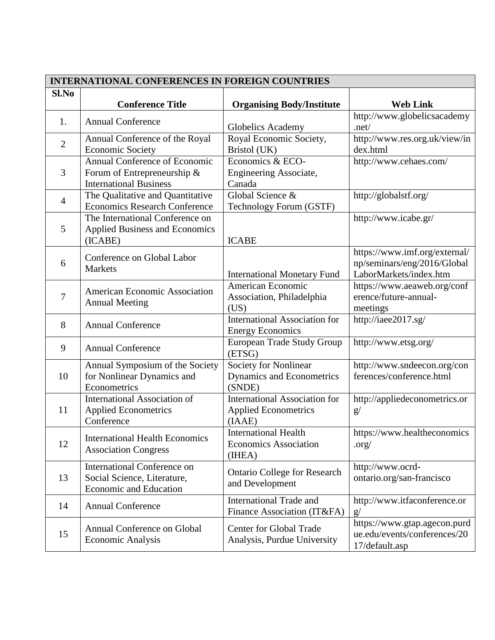| <b>INTERNATIONAL CONFERENCES IN FOREIGN COUNTRIES</b> |                                                                                               |                                                                               |                                                                                        |
|-------------------------------------------------------|-----------------------------------------------------------------------------------------------|-------------------------------------------------------------------------------|----------------------------------------------------------------------------------------|
| Sl.No                                                 |                                                                                               |                                                                               |                                                                                        |
|                                                       | <b>Conference Title</b>                                                                       | <b>Organising Body/Institute</b>                                              | <b>Web Link</b>                                                                        |
| 1.                                                    | <b>Annual Conference</b>                                                                      | Globelics Academy                                                             | http://www.globelicsacademy<br>. $net/$                                                |
| $\overline{2}$                                        | Annual Conference of the Royal<br><b>Economic Society</b>                                     | Royal Economic Society,<br>Bristol (UK)                                       | http://www.res.org.uk/view/in<br>dex.html                                              |
| 3                                                     | Annual Conference of Economic<br>Forum of Entrepreneurship &<br><b>International Business</b> | Economics & ECO-<br>Engineering Associate,<br>Canada                          | http://www.cehaes.com/                                                                 |
| $\overline{4}$                                        | The Qualitative and Quantitative<br><b>Economics Research Conference</b>                      | Global Science &<br>Technology Forum (GSTF)                                   | http://globalstf.org/                                                                  |
| 5                                                     | The International Conference on<br><b>Applied Business and Economics</b><br>(ICABE)           | <b>ICABE</b>                                                                  | http://www.icabe.gr/                                                                   |
| 6                                                     | Conference on Global Labor<br><b>Markets</b>                                                  | <b>International Monetary Fund</b>                                            | https://www.imf.org/external/<br>np/seminars/eng/2016/Global<br>LaborMarkets/index.htm |
| 7                                                     | American Economic Association<br><b>Annual Meeting</b>                                        | American Economic<br>Association, Philadelphia<br>(US)                        | https://www.aeaweb.org/conf<br>erence/future-annual-<br>meetings                       |
| 8                                                     | <b>Annual Conference</b>                                                                      | <b>International Association for</b><br><b>Energy Economics</b>               | http://iaee2017.sg/                                                                    |
| 9                                                     | <b>Annual Conference</b>                                                                      | <b>European Trade Study Group</b><br>(ETSG)                                   | http://www.etsg.org/                                                                   |
| 10                                                    | Annual Symposium of the Society<br>for Nonlinear Dynamics and<br>Econometrics                 | Society for Nonlinear<br>Dynamics and Econometrics<br>(SNDE)                  | http://www.sndeecon.org/con<br>ferences/conference.html                                |
| 11                                                    | International Association of<br><b>Applied Econometrics</b><br>Conference                     | <b>International Association for</b><br><b>Applied Econometrics</b><br>(IAAE) | http://appliedeconometrics.or<br>g/                                                    |
| 12                                                    | <b>International Health Economics</b><br><b>Association Congress</b>                          | <b>International Health</b><br><b>Economics Association</b><br>(IHEA)         | https://www.healtheconomics<br>.org/                                                   |
| 13                                                    | <b>International Conference on</b><br>Social Science, Literature,<br>Economic and Education   | <b>Ontario College for Research</b><br>and Development                        | http://www.ocrd-<br>ontario.org/san-francisco                                          |
| 14                                                    | <b>Annual Conference</b>                                                                      | <b>International Trade and</b><br>Finance Association (IT&FA)                 | http://www.itfaconference.or<br>g/                                                     |
| 15                                                    | Annual Conference on Global<br><b>Economic Analysis</b>                                       | <b>Center for Global Trade</b><br>Analysis, Purdue University                 | https://www.gtap.agecon.purd<br>ue.edu/events/conferences/20<br>17/default.asp         |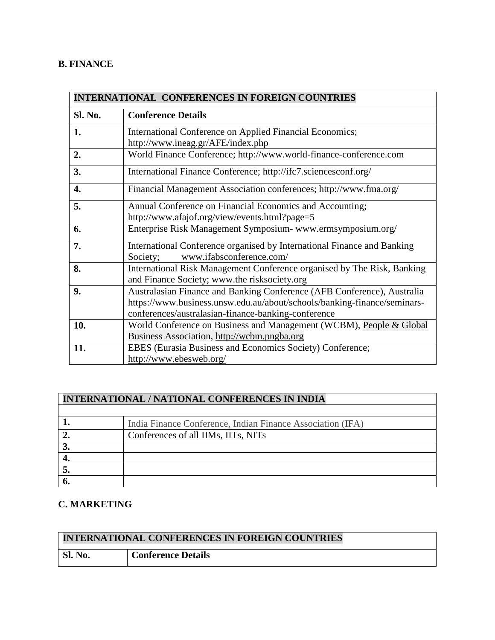## **B. FINANCE**

| <b>INTERNATIONAL CONFERENCES IN FOREIGN COUNTRIES</b> |                                                                                                                         |  |
|-------------------------------------------------------|-------------------------------------------------------------------------------------------------------------------------|--|
| Sl. No.                                               | <b>Conference Details</b>                                                                                               |  |
| 1.                                                    | International Conference on Applied Financial Economics;                                                                |  |
|                                                       | http://www.ineag.gr/AFE/index.php                                                                                       |  |
| 2.                                                    | World Finance Conference; http://www.world-finance-conference.com                                                       |  |
| 3.                                                    | International Finance Conference; http://ifc7.sciencesconf.org/                                                         |  |
| 4.                                                    | Financial Management Association conferences; http://www.fma.org/                                                       |  |
| 5.                                                    | Annual Conference on Financial Economics and Accounting;                                                                |  |
|                                                       | http://www.afajof.org/view/events.html?page=5                                                                           |  |
| 6.                                                    | Enterprise Risk Management Symposium- www.ermsymposium.org/                                                             |  |
| 7.                                                    | International Conference organised by International Finance and Banking                                                 |  |
|                                                       | www.ifabsconference.com/<br>Society;                                                                                    |  |
| 8.                                                    | International Risk Management Conference organised by The Risk, Banking<br>and Finance Society; www.the risksociety.org |  |
| 9.                                                    | Australasian Finance and Banking Conference (AFB Conference), Australia                                                 |  |
|                                                       | https://www.business.unsw.edu.au/about/schools/banking-finance/seminars-                                                |  |
|                                                       | conferences/australasian-finance-banking-conference                                                                     |  |
| 10.                                                   | World Conference on Business and Management (WCBM), People & Global                                                     |  |
|                                                       | Business Association, http://wcbm.pngba.org                                                                             |  |
| 11.                                                   | EBES (Eurasia Business and Economics Society) Conference;                                                               |  |
|                                                       | http://www.ebesweb.org/                                                                                                 |  |

# **INTERNATIONAL / NATIONAL CONFERENCES IN INDIA**

|   | India Finance Conference, Indian Finance Association (IFA) |
|---|------------------------------------------------------------|
|   | Conferences of all IIMs, IITs, NITs                        |
| ັ |                                                            |
|   |                                                            |
|   |                                                            |
|   |                                                            |

## **C. MARKETING**

| <b>INTERNATIONAL CONFERENCES IN FOREIGN COUNTRIES</b> |                           |
|-------------------------------------------------------|---------------------------|
| Sl. No.                                               | <b>Conference Details</b> |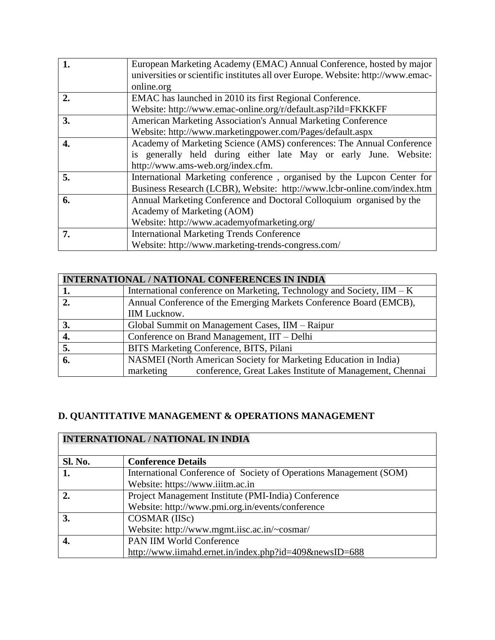|                  | European Marketing Academy (EMAC) Annual Conference, hosted by major             |
|------------------|----------------------------------------------------------------------------------|
|                  | universities or scientific institutes all over Europe. Website: http://www.emac- |
|                  | online.org                                                                       |
| $\overline{2}$ . | EMAC has launched in 2010 its first Regional Conference.                         |
|                  | Website: http://www.emac-online.org/r/default.asp?iId=FKKKFF                     |
| 3.               | <b>American Marketing Association's Annual Marketing Conference</b>              |
|                  | Website: http://www.marketingpower.com/Pages/default.aspx                        |
| 4.               | Academy of Marketing Science (AMS) conferences: The Annual Conference            |
|                  | is generally held during either late May or early June. Website:                 |
|                  | http://www.ams-web.org/index.cfm.                                                |
| 5.               | International Marketing conference, organised by the Lupcon Center for           |
|                  | Business Research (LCBR), Website: http://www.lcbr-online.com/index.htm          |
| 6.               | Annual Marketing Conference and Doctoral Colloquium organised by the             |
|                  | Academy of Marketing (AOM)                                                       |
|                  | Website: http://www.academyofmarketing.org/                                      |
| 7.               | <b>International Marketing Trends Conference</b>                                 |
|                  | Website: http://www.marketing-trends-congress.com/                               |

| <b>INTERNATIONAL / NATIONAL CONFERENCES IN INDIA</b> |                                                                        |
|------------------------------------------------------|------------------------------------------------------------------------|
| 1.                                                   | International conference on Marketing, Technology and Society, IIM – K |
| $\overline{2}$ .                                     | Annual Conference of the Emerging Markets Conference Board (EMCB),     |
|                                                      | <b>IIM Lucknow.</b>                                                    |
|                                                      | Global Summit on Management Cases, IIM - Raipur                        |
|                                                      | Conference on Brand Management, IIT – Delhi                            |
| 5.                                                   | BITS Marketing Conference, BITS, Pilani                                |
| 6.                                                   | NASMEI (North American Society for Marketing Education in India)       |
|                                                      | conference, Great Lakes Institute of Management, Chennai<br>marketing  |

# **D. QUANTITATIVE MANAGEMENT & OPERATIONS MANAGEMENT**

| <b>INTERNATIONAL / NATIONAL IN INDIA</b> |                                                                    |
|------------------------------------------|--------------------------------------------------------------------|
| <b>Sl. No.</b>                           | <b>Conference Details</b>                                          |
| 1.                                       | International Conference of Society of Operations Management (SOM) |
|                                          | Website: https://www.iiitm.ac.in                                   |
| 2.                                       | Project Management Institute (PMI-India) Conference                |
|                                          | Website: http://www.pmi.org.in/events/conference                   |
| 3.                                       | COSMAR (IISc)                                                      |
|                                          | Website: http://www.mgmt.iisc.ac.in/~cosmar/                       |
| 4.                                       | <b>PAN IIM World Conference</b>                                    |
|                                          | http://www.iimahd.ernet.in/index.php?id=409&newsID=688             |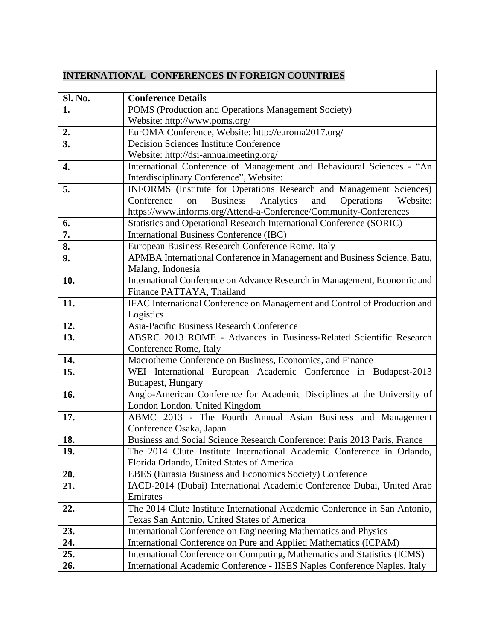| <b>INTERNATIONAL CONFERENCES IN FOREIGN COUNTRIES</b> |                                                                                   |  |
|-------------------------------------------------------|-----------------------------------------------------------------------------------|--|
| Sl. No.                                               | <b>Conference Details</b>                                                         |  |
| 1.                                                    | POMS (Production and Operations Management Society)                               |  |
|                                                       | Website: http://www.poms.org/                                                     |  |
|                                                       | EurOMA Conference, Website: http://euroma2017.org/                                |  |
| $\frac{2}{3}$                                         | <b>Decision Sciences Institute Conference</b>                                     |  |
|                                                       | Website: http://dsi-annualmeeting.org/                                            |  |
| 4.                                                    | International Conference of Management and Behavioural Sciences - "An             |  |
|                                                       | Interdisciplinary Conference", Website:                                           |  |
| 5.                                                    | INFORMS (Institute for Operations Research and Management Sciences)               |  |
|                                                       | <b>Business</b><br>Analytics<br>Conference<br>on<br>and<br>Operations<br>Website: |  |
|                                                       | https://www.informs.org/Attend-a-Conference/Community-Conferences                 |  |
| 6.                                                    | Statistics and Operational Research International Conference (SORIC)              |  |
| 7.                                                    | International Business Conference (IBC)                                           |  |
| 8.                                                    | European Business Research Conference Rome, Italy                                 |  |
| 9.                                                    | APMBA International Conference in Management and Business Science, Batu,          |  |
|                                                       | Malang, Indonesia                                                                 |  |
| 10.                                                   | International Conference on Advance Research in Management, Economic and          |  |
|                                                       | Finance PATTAYA, Thailand                                                         |  |
| 11.                                                   | IFAC International Conference on Management and Control of Production and         |  |
|                                                       | Logistics                                                                         |  |
| 12.                                                   | Asia-Pacific Business Research Conference                                         |  |
| 13.                                                   | ABSRC 2013 ROME - Advances in Business-Related Scientific Research                |  |
|                                                       | Conference Rome, Italy                                                            |  |
| 14.                                                   | Macrotheme Conference on Business, Economics, and Finance                         |  |
| 15.                                                   | WEI International European Academic Conference in Budapest-2013                   |  |
|                                                       | Budapest, Hungary                                                                 |  |
| 16.                                                   | Anglo-American Conference for Academic Disciplines at the University of           |  |
|                                                       | London London, United Kingdom                                                     |  |
| 17.                                                   | ABMC 2013 - The Fourth Annual Asian Business and Management                       |  |
|                                                       | Conference Osaka, Japan                                                           |  |
| 18.                                                   | Business and Social Science Research Conference: Paris 2013 Paris, France         |  |
| 19.                                                   | The 2014 Clute Institute International Academic Conference in Orlando,            |  |
|                                                       | Florida Orlando, United States of America                                         |  |
| 20.                                                   | EBES (Eurasia Business and Economics Society) Conference                          |  |
| 21.                                                   | IACD-2014 (Dubai) International Academic Conference Dubai, United Arab            |  |
|                                                       | Emirates                                                                          |  |
| 22.                                                   | The 2014 Clute Institute International Academic Conference in San Antonio,        |  |
|                                                       | Texas San Antonio, United States of America                                       |  |
| 23.                                                   | International Conference on Engineering Mathematics and Physics                   |  |
| 24.                                                   | International Conference on Pure and Applied Mathematics (ICPAM)                  |  |
| 25.                                                   | International Conference on Computing, Mathematics and Statistics (ICMS)          |  |
| 26.                                                   | International Academic Conference - IISES Naples Conference Naples, Italy         |  |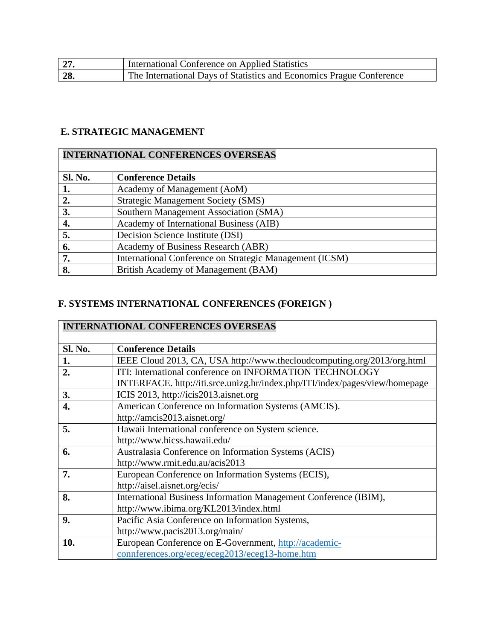| 27. | International Conference on Applied Statistics                       |
|-----|----------------------------------------------------------------------|
| 28. | The International Days of Statistics and Economics Prague Conference |

## **E. STRATEGIC MANAGEMENT**

# **INTERNATIONAL CONFERENCES OVERSEAS**

| <b>Sl. No.</b> | <b>Conference Details</b>                               |
|----------------|---------------------------------------------------------|
|                | Academy of Management (AoM)                             |
| 2.             | <b>Strategic Management Society (SMS)</b>               |
| 3.             | Southern Management Association (SMA)                   |
| 4.             | Academy of International Business (AIB)                 |
| 5.             | Decision Science Institute (DSI)                        |
| 6.             | Academy of Business Research (ABR)                      |
| 7.             | International Conference on Strategic Management (ICSM) |
| 8.             | British Academy of Management (BAM)                     |

## **F. SYSTEMS INTERNATIONAL CONFERENCES (FOREIGN )**

| <b>INTERNATIONAL CONFERENCES OVERSEAS</b> |                                                                             |
|-------------------------------------------|-----------------------------------------------------------------------------|
| <b>Sl. No.</b>                            | <b>Conference Details</b>                                                   |
| 1.                                        | IEEE Cloud 2013, CA, USA http://www.thecloudcomputing.org/2013/org.html     |
| 2.                                        | ITI: International conference on INFORMATION TECHNOLOGY                     |
|                                           | INTERFACE. http://iti.srce.unizg.hr/index.php/ITI/index/pages/view/homepage |
| 3.                                        | ICIS 2013, http://icis2013.aisnet.org                                       |
| 4.                                        | American Conference on Information Systems (AMCIS).                         |
|                                           | http://amcis2013.aisnet.org/                                                |
| 5.                                        | Hawaii International conference on System science.                          |
|                                           | http://www.hicss.hawaii.edu/                                                |
| 6.                                        | Australasia Conference on Information Systems (ACIS)                        |
|                                           | http://www.rmit.edu.au/acis2013                                             |
| 7.                                        | European Conference on Information Systems (ECIS),                          |
|                                           | http://aisel.aisnet.org/ecis/                                               |
| 8.                                        | International Business Information Management Conference (IBIM),            |
|                                           | http://www.ibima.org/KL2013/index.html                                      |
| 9.                                        | Pacific Asia Conference on Information Systems,                             |
|                                           | http://www.pacis2013.org/main/                                              |
| 10.                                       | European Conference on E-Government, http://academic-                       |
|                                           | connferences.org/eceg/eceg2013/eceg13-home.htm                              |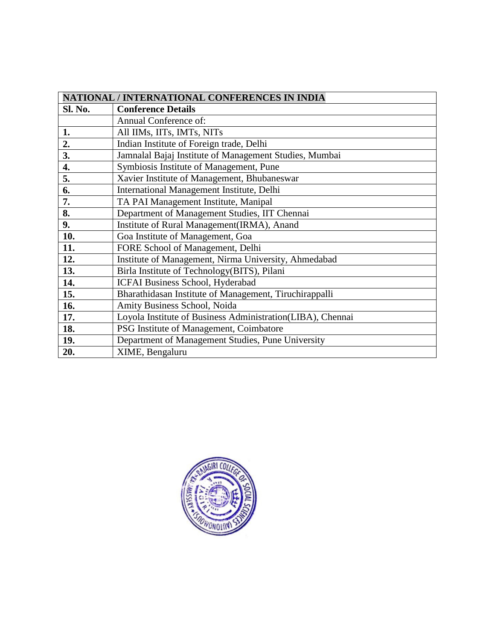| NATIONAL / INTERNATIONAL CONFERENCES IN INDIA |                                                            |
|-----------------------------------------------|------------------------------------------------------------|
| Sl. No.                                       | <b>Conference Details</b>                                  |
|                                               | Annual Conference of:                                      |
| 1.                                            | All IIMs, IITs, IMTs, NITs                                 |
| 2.                                            | Indian Institute of Foreign trade, Delhi                   |
| 3.                                            | Jamnalal Bajaj Institute of Management Studies, Mumbai     |
| $\boldsymbol{4}$ .                            | Symbiosis Institute of Management, Pune                    |
| 5.                                            | Xavier Institute of Management, Bhubaneswar                |
| 6.                                            | International Management Institute, Delhi                  |
| 7.                                            | TA PAI Management Institute, Manipal                       |
| 8.                                            | Department of Management Studies, IIT Chennai              |
| 9.                                            | Institute of Rural Management(IRMA), Anand                 |
| 10.                                           | Goa Institute of Management, Goa                           |
| 11.                                           | FORE School of Management, Delhi                           |
| 12.                                           | Institute of Management, Nirma University, Ahmedabad       |
| 13.                                           | Birla Institute of Technology(BITS), Pilani                |
| 14.                                           | ICFAI Business School, Hyderabad                           |
| 15.                                           | Bharathidasan Institute of Management, Tiruchirappalli     |
| 16.                                           | Amity Business School, Noida                               |
| 17.                                           | Loyola Institute of Business Administration(LIBA), Chennai |
| 18.                                           | PSG Institute of Management, Coimbatore                    |
| 19.                                           | Department of Management Studies, Pune University          |
| 20.                                           | XIME, Bengaluru                                            |

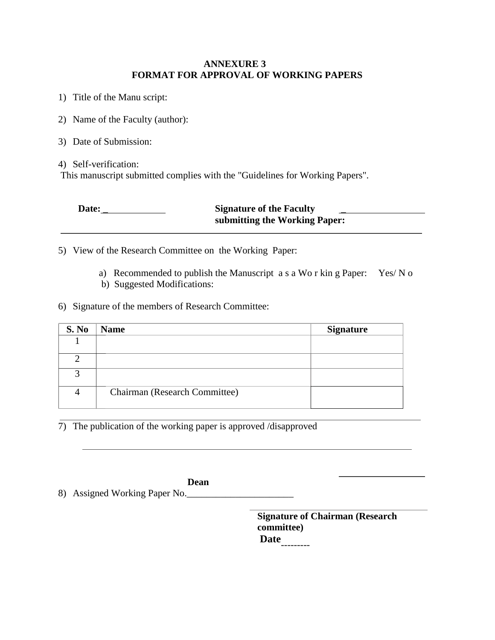#### **ANNEXURE 3 FORMAT FOR APPROVAL OF WORKING PAPERS**

- 1) Title of the Manu script:
- 2) Name of the Faculty (author):
- 3) Date of Submission:

4) Self-verification:

This manuscript submitted complies with the "Guidelines for Working Papers".

| Date: | <b>Signature of the Faculty</b> |
|-------|---------------------------------|
|       | submitting the Working Paper:   |

5) View of the Research Committee on the Working Paper:

- a) Recommended to publish the Manuscript a s a Wo r kin g Paper: Yes/ N o
- b) Suggested Modifications:

## 6) Signature of the members of Research Committee:

| S. No         | <b>Name</b>                   | <b>Signature</b> |
|---------------|-------------------------------|------------------|
|               |                               |                  |
| ◠             |                               |                  |
| $\mathcal{R}$ |                               |                  |
|               | Chairman (Research Committee) |                  |

7) The publication of the working paper is approved /disapproved

**Dean** 8) Assigned Working Paper No.

> **Signature of Chairman (Research committee) Date** ---------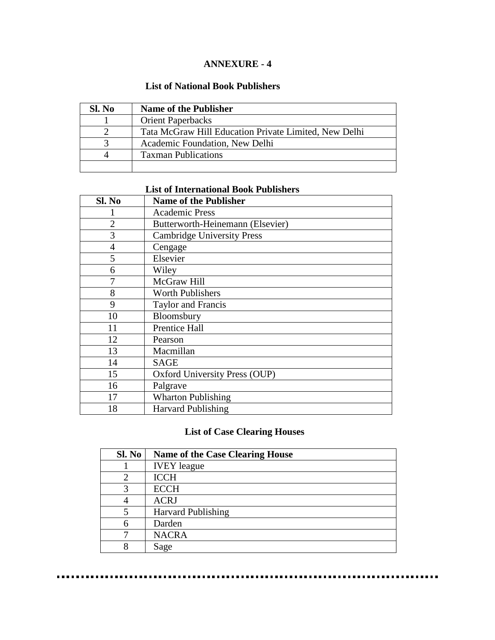## **ANNEXURE - 4**

#### **List of National Book Publishers**

| Sl. No | <b>Name of the Publisher</b>                          |
|--------|-------------------------------------------------------|
|        | <b>Orient Paperbacks</b>                              |
|        | Tata McGraw Hill Education Private Limited, New Delhi |
|        | Academic Foundation, New Delhi                        |
|        | <b>Taxman Publications</b>                            |
|        |                                                       |

## **List of International Book Publishers**

| Sl. No         | <b>Name of the Publisher</b>      |
|----------------|-----------------------------------|
|                | <b>Academic Press</b>             |
| $\overline{2}$ | Butterworth-Heinemann (Elsevier)  |
| 3              | <b>Cambridge University Press</b> |
| $\overline{4}$ | Cengage                           |
| 5              | Elsevier                          |
| 6              | Wiley                             |
| 7              | McGraw Hill                       |
| 8              | <b>Worth Publishers</b>           |
| 9              | Taylor and Francis                |
| 10             | Bloomsbury                        |
| 11             | Prentice Hall                     |
| 12             | Pearson                           |
| 13             | Macmillan                         |
| 14             | <b>SAGE</b>                       |
| 15             | Oxford University Press (OUP)     |
| 16             | Palgrave                          |
| 17             | <b>Wharton Publishing</b>         |
| 18             | <b>Harvard Publishing</b>         |

## **List of Case Clearing Houses**

| Sl. No         | <b>Name of the Case Clearing House</b> |
|----------------|----------------------------------------|
|                | <b>IVEY</b> league                     |
| $\overline{c}$ | <b>ICCH</b>                            |
| 3              | <b>ECCH</b>                            |
|                | <b>ACRJ</b>                            |
|                | <b>Harvard Publishing</b>              |
| 6              | Darden                                 |
|                | <b>NACRA</b>                           |
| R              | Sage                                   |

. . . . . . . . . . . . . . . .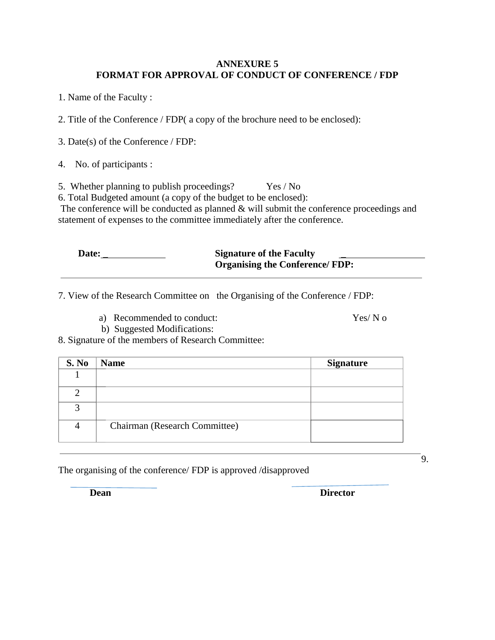#### **ANNEXURE 5 FORMAT FOR APPROVAL OF CONDUCT OF CONFERENCE / FDP**

1. Name of the Faculty :

2. Title of the Conference / FDP( a copy of the brochure need to be enclosed):

3. Date(s) of the Conference / FDP:

4. No. of participants :

5. Whether planning to publish proceedings? Yes / No

6. Total Budgeted amount (a copy of the budget to be enclosed):

The conference will be conducted as planned & will submit the conference proceedings and statement of expenses to the committee immediately after the conference.

| Date: | <b>Signature of the Faculty</b>       |
|-------|---------------------------------------|
|       | <b>Organising the Conference/FDP:</b> |

7. View of the Research Committee on the Organising of the Conference / FDP:

a) Recommended to conduct: Yes/ N o

9.

b) Suggested Modifications:

8. Signature of the members of Research Committee:

| S. No | <b>Name</b>                   | <b>Signature</b> |
|-------|-------------------------------|------------------|
|       |                               |                  |
|       |                               |                  |
| 3     |                               |                  |
|       | Chairman (Research Committee) |                  |

The organising of the conference/ FDP is approved /disapproved

**Dean** Director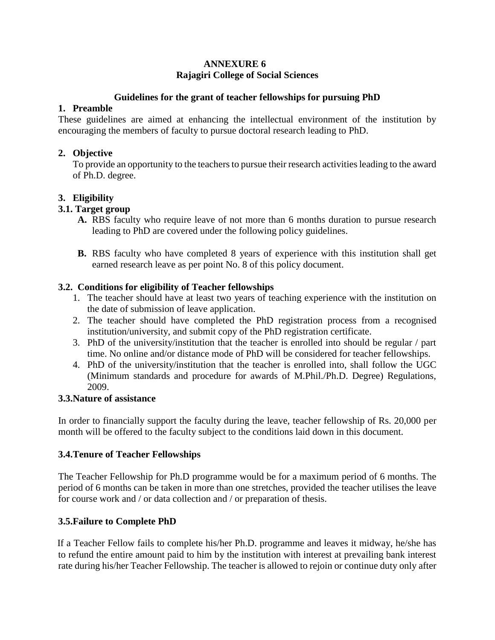#### **ANNEXURE 6 Rajagiri College of Social Sciences**

#### **Guidelines for the grant of teacher fellowships for pursuing PhD**

## **1. Preamble**

These guidelines are aimed at enhancing the intellectual environment of the institution by encouraging the members of faculty to pursue doctoral research leading to PhD.

## **2. Objective**

To provide an opportunity to the teachers to pursue their research activities leading to the award of Ph.D. degree.

## **3. Eligibility**

## **3.1. Target group**

- **A.** RBS faculty who require leave of not more than 6 months duration to pursue research leading to PhD are covered under the following policy guidelines.
- **B.** RBS faculty who have completed 8 years of experience with this institution shall get earned research leave as per point No. 8 of this policy document.

## **3.2. Conditions for eligibility of Teacher fellowships**

- 1. The teacher should have at least two years of teaching experience with the institution on the date of submission of leave application.
- 2. The teacher should have completed the PhD registration process from a recognised institution/university, and submit copy of the PhD registration certificate.
- 3. PhD of the university/institution that the teacher is enrolled into should be regular / part time. No online and/or distance mode of PhD will be considered for teacher fellowships.
- 4. PhD of the university/institution that the teacher is enrolled into, shall follow the UGC (Minimum standards and procedure for awards of M.Phil./Ph.D. Degree) Regulations, 2009.

## **3.3.Nature of assistance**

In order to financially support the faculty during the leave, teacher fellowship of Rs. 20,000 per month will be offered to the faculty subject to the conditions laid down in this document.

## **3.4.Tenure of Teacher Fellowships**

The Teacher Fellowship for Ph.D programme would be for a maximum period of 6 months. The period of 6 months can be taken in more than one stretches, provided the teacher utilises the leave for course work and / or data collection and / or preparation of thesis.

## **3.5.Failure to Complete PhD**

 If a Teacher Fellow fails to complete his/her Ph.D. programme and leaves it midway, he/she has to refund the entire amount paid to him by the institution with interest at prevailing bank interest rate during his/her Teacher Fellowship. The teacher is allowed to rejoin or continue duty only after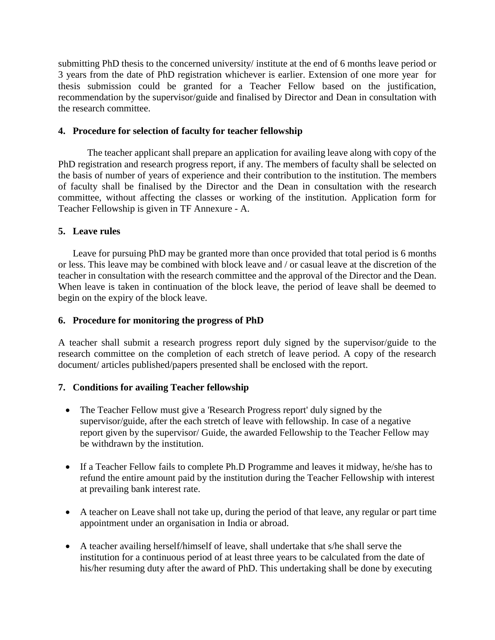submitting PhD thesis to the concerned university/ institute at the end of 6 months leave period or 3 years from the date of PhD registration whichever is earlier. Extension of one more year for thesis submission could be granted for a Teacher Fellow based on the justification, recommendation by the supervisor/guide and finalised by Director and Dean in consultation with the research committee.

#### **4. Procedure for selection of faculty for teacher fellowship**

The teacher applicant shall prepare an application for availing leave along with copy of the PhD registration and research progress report, if any. The members of faculty shall be selected on the basis of number of years of experience and their contribution to the institution. The members of faculty shall be finalised by the Director and the Dean in consultation with the research committee, without affecting the classes or working of the institution. Application form for Teacher Fellowship is given in TF Annexure - A.

#### **5. Leave rules**

Leave for pursuing PhD may be granted more than once provided that total period is 6 months or less. This leave may be combined with block leave and / or casual leave at the discretion of the teacher in consultation with the research committee and the approval of the Director and the Dean. When leave is taken in continuation of the block leave, the period of leave shall be deemed to begin on the expiry of the block leave.

#### **6. Procedure for monitoring the progress of PhD**

A teacher shall submit a research progress report duly signed by the supervisor/guide to the research committee on the completion of each stretch of leave period. A copy of the research document/ articles published/papers presented shall be enclosed with the report.

#### **7. Conditions for availing Teacher fellowship**

- The Teacher Fellow must give a 'Research Progress report' duly signed by the supervisor/guide, after the each stretch of leave with fellowship. In case of a negative report given by the supervisor/ Guide, the awarded Fellowship to the Teacher Fellow may be withdrawn by the institution.
- If a Teacher Fellow fails to complete Ph.D Programme and leaves it midway, he/she has to refund the entire amount paid by the institution during the Teacher Fellowship with interest at prevailing bank interest rate.
- A teacher on Leave shall not take up, during the period of that leave, any regular or part time appointment under an organisation in India or abroad.
- A teacher availing herself/himself of leave, shall undertake that s/he shall serve the institution for a continuous period of at least three years to be calculated from the date of his/her resuming duty after the award of PhD. This undertaking shall be done by executing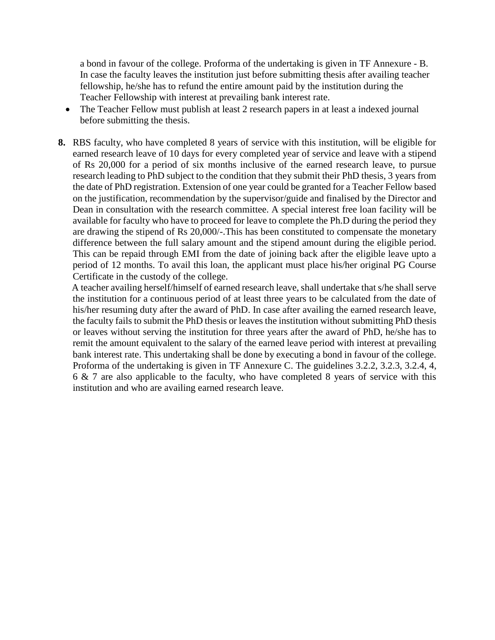a bond in favour of the college. Proforma of the undertaking is given in TF Annexure - B. In case the faculty leaves the institution just before submitting thesis after availing teacher fellowship, he/she has to refund the entire amount paid by the institution during the Teacher Fellowship with interest at prevailing bank interest rate.

- The Teacher Fellow must publish at least 2 research papers in at least a indexed journal before submitting the thesis.
- **8.** RBS faculty, who have completed 8 years of service with this institution, will be eligible for earned research leave of 10 days for every completed year of service and leave with a stipend of Rs 20,000 for a period of six months inclusive of the earned research leave, to pursue research leading to PhD subject to the condition that they submit their PhD thesis, 3 years from the date of PhD registration. Extension of one year could be granted for a Teacher Fellow based on the justification, recommendation by the supervisor/guide and finalised by the Director and Dean in consultation with the research committee. A special interest free loan facility will be available for faculty who have to proceed for leave to complete the Ph.D during the period they are drawing the stipend of Rs 20,000/-.This has been constituted to compensate the monetary difference between the full salary amount and the stipend amount during the eligible period. This can be repaid through EMI from the date of joining back after the eligible leave upto a period of 12 months. To avail this loan, the applicant must place his/her original PG Course Certificate in the custody of the college.

 A teacher availing herself/himself of earned research leave, shall undertake that s/he shall serve the institution for a continuous period of at least three years to be calculated from the date of his/her resuming duty after the award of PhD. In case after availing the earned research leave, the faculty fails to submit the PhD thesis or leaves the institution without submitting PhD thesis or leaves without serving the institution for three years after the award of PhD, he/she has to remit the amount equivalent to the salary of the earned leave period with interest at prevailing bank interest rate. This undertaking shall be done by executing a bond in favour of the college. Proforma of the undertaking is given in TF Annexure C. The guidelines 3.2.2, 3.2.3, 3.2.4, 4, 6 & 7 are also applicable to the faculty, who have completed 8 years of service with this institution and who are availing earned research leave.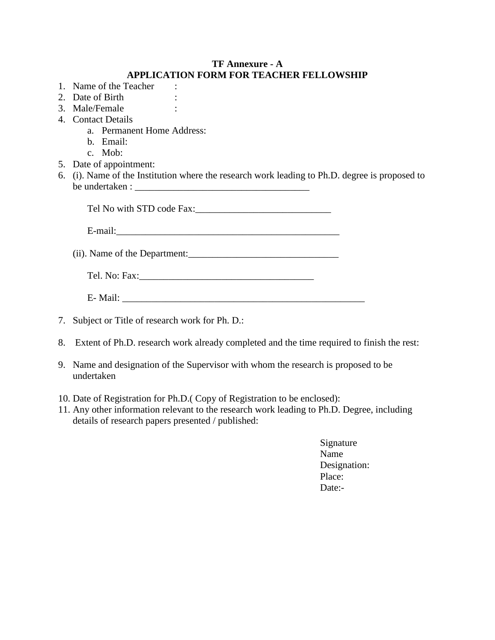## **TF Annexure - A APPLICATION FORM FOR TEACHER FELLOWSHIP**

- 1. Name of the Teacher : 2. Date of Birth : 3. Male/Female : 4. Contact Details a. Permanent Home Address: b. Email: c. Mob: 5. Date of appointment: 6. (i). Name of the Institution where the research work leading to Ph.D. degree is proposed to be undertaken : \_\_\_\_\_\_\_\_\_\_\_\_\_\_\_\_\_\_\_\_\_\_\_\_\_\_\_\_\_\_\_\_\_\_\_\_ Tel No with STD code Fax:  $E$ -mail: $\Box$ (ii). Name of the Department: Tel. No: Fax:\_\_\_\_\_\_\_\_\_\_\_\_\_\_\_\_\_\_\_\_\_\_\_\_\_\_\_\_\_\_\_\_\_\_\_\_ E- Mail: 7. Subject or Title of research work for Ph. D.:
- 8. Extent of Ph.D. research work already completed and the time required to finish the rest:
- 9. Name and designation of the Supervisor with whom the research is proposed to be undertaken
- 10. Date of Registration for Ph.D.( Copy of Registration to be enclosed):
- 11. Any other information relevant to the research work leading to Ph.D. Degree, including details of research papers presented / published:
	- Signature Name Designation: Place: Date:-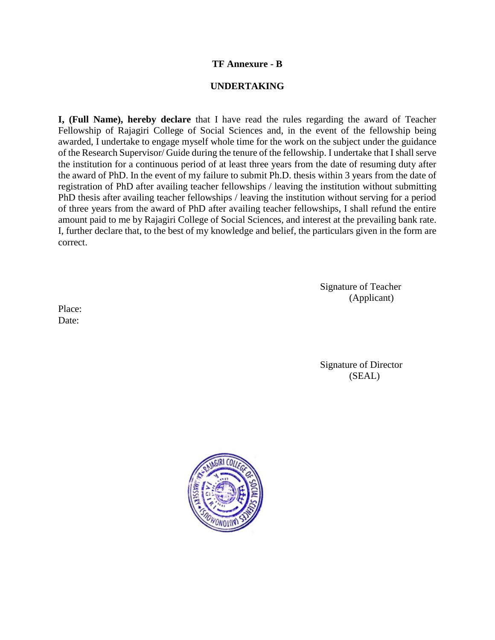#### **TF Annexure - B**

#### **UNDERTAKING**

**I, (Full Name), hereby declare** that I have read the rules regarding the award of Teacher Fellowship of Rajagiri College of Social Sciences and, in the event of the fellowship being awarded, I undertake to engage myself whole time for the work on the subject under the guidance of the Research Supervisor/ Guide during the tenure of the fellowship. I undertake that I shall serve the institution for a continuous period of at least three years from the date of resuming duty after the award of PhD. In the event of my failure to submit Ph.D. thesis within 3 years from the date of registration of PhD after availing teacher fellowships / leaving the institution without submitting PhD thesis after availing teacher fellowships / leaving the institution without serving for a period of three years from the award of PhD after availing teacher fellowships, I shall refund the entire amount paid to me by Rajagiri College of Social Sciences, and interest at the prevailing bank rate. I, further declare that, to the best of my knowledge and belief, the particulars given in the form are correct.

> Signature of Teacher (Applicant)

Place: Date:

> Signature of Director (SEAL)